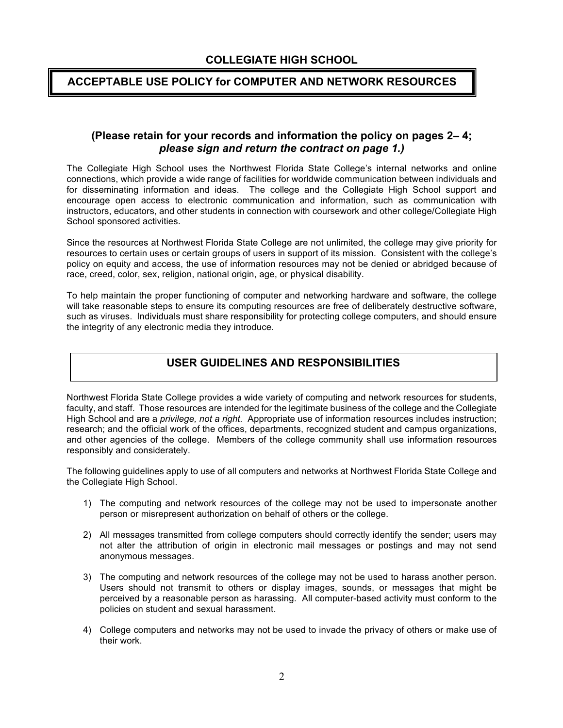# **COLLEGIATE HIGH SCHOOL**

### **ACCEPTABLE USE POLICY for COMPUTER AND NETWORK RESOURCES**

#### **(Please retain for your records and information the policy on pages 2– 4;**  *please sign and return the contract on page 1.)*

The Collegiate High School uses the Northwest Florida State College's internal networks and online connections, which provide a wide range of facilities for worldwide communication between individuals and for disseminating information and ideas. The college and the Collegiate High School support and encourage open access to electronic communication and information, such as communication with instructors, educators, and other students in connection with coursework and other college/Collegiate High School sponsored activities.

Since the resources at Northwest Florida State College are not unlimited, the college may give priority for resources to certain uses or certain groups of users in support of its mission. Consistent with the college's policy on equity and access, the use of information resources may not be denied or abridged because of race, creed, color, sex, religion, national origin, age, or physical disability.

To help maintain the proper functioning of computer and networking hardware and software, the college will take reasonable steps to ensure its computing resources are free of deliberately destructive software, such as viruses. Individuals must share responsibility for protecting college computers, and should ensure the integrity of any electronic media they introduce.

# **USER GUIDELINES AND RESPONSIBILITIES**

Northwest Florida State College provides a wide variety of computing and network resources for students, faculty, and staff. Those resources are intended for the legitimate business of the college and the Collegiate High School and are a *privilege, not a right.* Appropriate use of information resources includes instruction; research; and the official work of the offices, departments, recognized student and campus organizations, and other agencies of the college. Members of the college community shall use information resources responsibly and considerately.

The following guidelines apply to use of all computers and networks at Northwest Florida State College and the Collegiate High School.

- 1) The computing and network resources of the college may not be used to impersonate another person or misrepresent authorization on behalf of others or the college.
- 2) All messages transmitted from college computers should correctly identify the sender; users may not alter the attribution of origin in electronic mail messages or postings and may not send anonymous messages.
- 3) The computing and network resources of the college may not be used to harass another person. Users should not transmit to others or display images, sounds, or messages that might be perceived by a reasonable person as harassing. All computer-based activity must conform to the policies on student and sexual harassment.
- 4) College computers and networks may not be used to invade the privacy of others or make use of their work.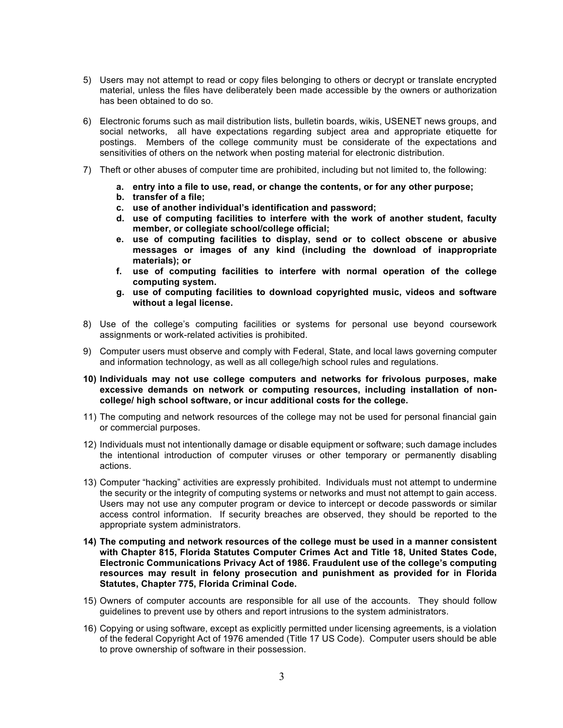- 5) Users may not attempt to read or copy files belonging to others or decrypt or translate encrypted material, unless the files have deliberately been made accessible by the owners or authorization has been obtained to do so.
- 6) Electronic forums such as mail distribution lists, bulletin boards, wikis, USENET news groups, and social networks, all have expectations regarding subject area and appropriate etiquette for postings. Members of the college community must be considerate of the expectations and sensitivities of others on the network when posting material for electronic distribution.
- 7) Theft or other abuses of computer time are prohibited, including but not limited to, the following:
	- **a. entry into a file to use, read, or change the contents, or for any other purpose;**
	- **b. transfer of a file;**
	- **c. use of another individual's identification and password;**
	- **d. use of computing facilities to interfere with the work of another student, faculty member, or collegiate school/college official;**
	- **e. use of computing facilities to display, send or to collect obscene or abusive messages or images of any kind (including the download of inappropriate materials); or**
	- **f. use of computing facilities to interfere with normal operation of the college computing system.**
	- **g. use of computing facilities to download copyrighted music, videos and software without a legal license.**
- 8) Use of the college's computing facilities or systems for personal use beyond coursework assignments or work-related activities is prohibited.
- 9) Computer users must observe and comply with Federal, State, and local laws governing computer and information technology, as well as all college/high school rules and regulations.
- **10) Individuals may not use college computers and networks for frivolous purposes, make excessive demands on network or computing resources, including installation of noncollege/ high school software, or incur additional costs for the college.**
- 11) The computing and network resources of the college may not be used for personal financial gain or commercial purposes.
- 12) Individuals must not intentionally damage or disable equipment or software; such damage includes the intentional introduction of computer viruses or other temporary or permanently disabling actions.
- 13) Computer "hacking" activities are expressly prohibited. Individuals must not attempt to undermine the security or the integrity of computing systems or networks and must not attempt to gain access. Users may not use any computer program or device to intercept or decode passwords or similar access control information. If security breaches are observed, they should be reported to the appropriate system administrators.
- **14) The computing and network resources of the college must be used in a manner consistent with Chapter 815, Florida Statutes Computer Crimes Act and Title 18, United States Code, Electronic Communications Privacy Act of 1986. Fraudulent use of the college's computing resources may result in felony prosecution and punishment as provided for in Florida Statutes, Chapter 775, Florida Criminal Code.**
- 15) Owners of computer accounts are responsible for all use of the accounts. They should follow guidelines to prevent use by others and report intrusions to the system administrators.
- 16) Copying or using software, except as explicitly permitted under licensing agreements, is a violation of the federal Copyright Act of 1976 amended (Title 17 US Code). Computer users should be able to prove ownership of software in their possession.